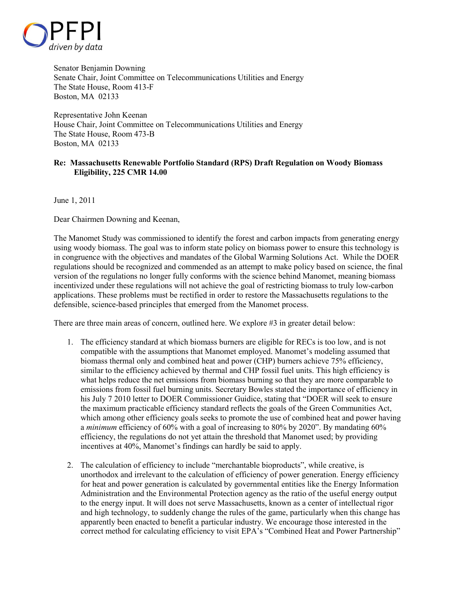

Senator Benjamin Downing Senate Chair, Joint Committee on Telecommunications Utilities and Energy The State House, Room 413-F Boston, MA 02133

Representative John Keenan House Chair, Joint Committee on Telecommunications Utilities and Energy The State House, Room 473-B Boston, MA 02133

## **Re: Massachusetts Renewable Portfolio Standard (RPS) Draft Regulation on Woody Biomass Eligibility, 225 CMR 14.00**

June 1, 2011

Dear Chairmen Downing and Keenan,

The Manomet Study was commissioned to identify the forest and carbon impacts from generating energy using woody biomass. The goal was to inform state policy on biomass power to ensure this technology is in congruence with the objectives and mandates of the Global Warming Solutions Act. While the DOER regulations should be recognized and commended as an attempt to make policy based on science, the final version of the regulations no longer fully conforms with the science behind Manomet, meaning biomass incentivized under these regulations will not achieve the goal of restricting biomass to truly low-carbon applications. These problems must be rectified in order to restore the Massachusetts regulations to the defensible, science-based principles that emerged from the Manomet process.

There are three main areas of concern, outlined here. We explore #3 in greater detail below:

- 1. The efficiency standard at which biomass burners are eligible for RECs is too low, and is not compatible with the assumptions that Manomet employed. Manomet's modeling assumed that biomass thermal only and combined heat and power (CHP) burners achieve 75% efficiency, similar to the efficiency achieved by thermal and CHP fossil fuel units. This high efficiency is what helps reduce the net emissions from biomass burning so that they are more comparable to emissions from fossil fuel burning units. Secretary Bowles stated the importance of efficiency in his July 7 2010 letter to DOER Commissioner Guidice, stating that "DOER will seek to ensure the maximum practicable efficiency standard reflects the goals of the Green Communities Act, which among other efficiency goals seeks to promote the use of combined heat and power having a *minimum* efficiency of 60% with a goal of increasing to 80% by 2020". By mandating 60% efficiency, the regulations do not yet attain the threshold that Manomet used; by providing incentives at 40%, Manomet's findings can hardly be said to apply.
- 2. The calculation of efficiency to include "merchantable bioproducts", while creative, is unorthodox and irrelevant to the calculation of efficiency of power generation. Energy efficiency for heat and power generation is calculated by governmental entities like the Energy Information Administration and the Environmental Protection agency as the ratio of the useful energy output to the energy input. It will does not serve Massachusetts, known as a center of intellectual rigor and high technology, to suddenly change the rules of the game, particularly when this change has apparently been enacted to benefit a particular industry. We encourage those interested in the correct method for calculating efficiency to visit EPA's "Combined Heat and Power Partnership"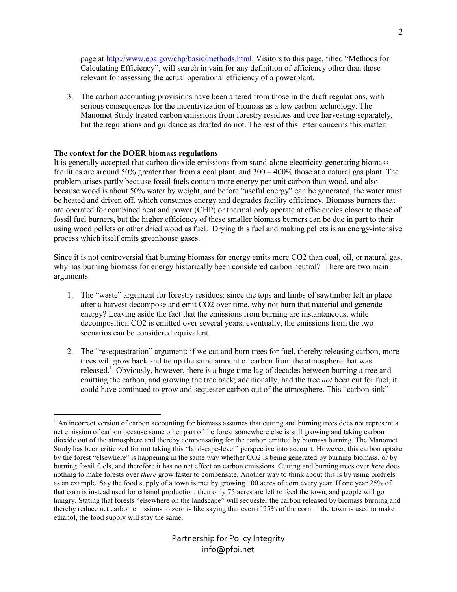page at http://www.epa.gov/chp/basic/methods.html. Visitors to this page, titled "Methods for Calculating Efficiency", will search in vain for any definition of efficiency other than those relevant for assessing the actual operational efficiency of a powerplant.

3. The carbon accounting provisions have been altered from those in the draft regulations, with serious consequences for the incentivization of biomass as a low carbon technology. The Manomet Study treated carbon emissions from forestry residues and tree harvesting separately, but the regulations and guidance as drafted do not. The rest of this letter concerns this matter.

## **The context for the DOER biomass regulations**

It is generally accepted that carbon dioxide emissions from stand-alone electricity-generating biomass facilities are around 50% greater than from a coal plant, and 300 – 400% those at a natural gas plant. The problem arises partly because fossil fuels contain more energy per unit carbon than wood, and also because wood is about 50% water by weight, and before "useful energy" can be generated, the water must be heated and driven off, which consumes energy and degrades facility efficiency. Biomass burners that are operated for combined heat and power (CHP) or thermal only operate at efficiencies closer to those of fossil fuel burners, but the higher efficiency of these smaller biomass burners can be due in part to their using wood pellets or other dried wood as fuel. Drying this fuel and making pellets is an energy-intensive process which itself emits greenhouse gases.

Since it is not controversial that burning biomass for energy emits more CO2 than coal, oil, or natural gas, why has burning biomass for energy historically been considered carbon neutral? There are two main arguments:

- 1. The "waste" argument for forestry residues: since the tops and limbs of sawtimber left in place after a harvest decompose and emit CO2 over time, why not burn that material and generate energy? Leaving aside the fact that the emissions from burning are instantaneous, while decomposition CO2 is emitted over several years, eventually, the emissions from the two scenarios can be considered equivalent.
- 2. The "resequestration" argument: if we cut and burn trees for fuel, thereby releasing carbon, more trees will grow back and tie up the same amount of carbon from the atmosphere that was released.<sup>1</sup> Obviously, however, there is a huge time lag of decades between burning a tree and emitting the carbon, and growing the tree back; additionally, had the tree *not* been cut for fuel, it could have continued to grow and sequester carbon out of the atmosphere. This "carbon sink"

<sup>&</sup>lt;u>.</u> <sup>1</sup> An incorrect version of carbon accounting for biomass assumes that cutting and burning trees does not represent a net emission of carbon because some other part of the forest somewhere else is still growing and taking carbon dioxide out of the atmosphere and thereby compensating for the carbon emitted by biomass burning. The Manomet Study has been criticized for not taking this "landscape-level" perspective into account. However, this carbon uptake by the forest "elsewhere" is happening in the same way whether CO2 is being generated by burning biomass, or by burning fossil fuels, and therefore it has no net effect on carbon emissions. Cutting and burning trees over *here* does nothing to make forests over *there* grow faster to compensate. Another way to think about this is by using biofuels as an example. Say the food supply of a town is met by growing 100 acres of corn every year. If one year 25% of that corn is instead used for ethanol production, then only 75 acres are left to feed the town, and people will go hungry. Stating that forests "elsewhere on the landscape" will sequester the carbon released by biomass burning and thereby reduce net carbon emissions to zero is like saying that even if 25% of the corn in the town is used to make ethanol, the food supply will stay the same.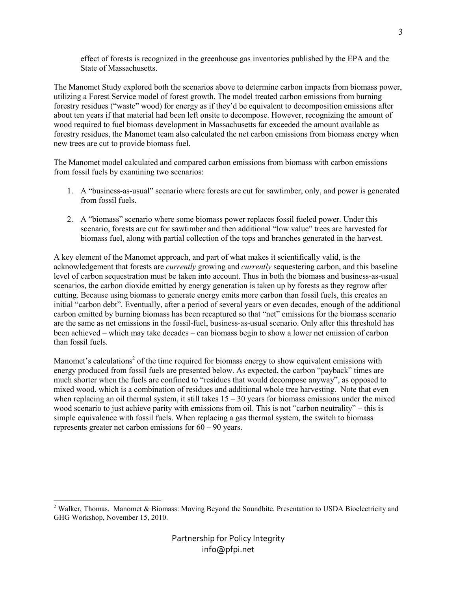effect of forests is recognized in the greenhouse gas inventories published by the EPA and the State of Massachusetts.

The Manomet Study explored both the scenarios above to determine carbon impacts from biomass power, utilizing a Forest Service model of forest growth. The model treated carbon emissions from burning forestry residues ("waste" wood) for energy as if they'd be equivalent to decomposition emissions after about ten years if that material had been left onsite to decompose. However, recognizing the amount of wood required to fuel biomass development in Massachusetts far exceeded the amount available as forestry residues, the Manomet team also calculated the net carbon emissions from biomass energy when new trees are cut to provide biomass fuel.

The Manomet model calculated and compared carbon emissions from biomass with carbon emissions from fossil fuels by examining two scenarios:

- 1. A "business-as-usual" scenario where forests are cut for sawtimber, only, and power is generated from fossil fuels.
- 2. A "biomass" scenario where some biomass power replaces fossil fueled power. Under this scenario, forests are cut for sawtimber and then additional "low value" trees are harvested for biomass fuel, along with partial collection of the tops and branches generated in the harvest.

A key element of the Manomet approach, and part of what makes it scientifically valid, is the acknowledgement that forests are *currently* growing and *currently* sequestering carbon, and this baseline level of carbon sequestration must be taken into account. Thus in both the biomass and business-as-usual scenarios, the carbon dioxide emitted by energy generation is taken up by forests as they regrow after cutting. Because using biomass to generate energy emits more carbon than fossil fuels, this creates an initial "carbon debt". Eventually, after a period of several years or even decades, enough of the additional carbon emitted by burning biomass has been recaptured so that "net" emissions for the biomass scenario are the same as net emissions in the fossil-fuel, business-as-usual scenario. Only after this threshold has been achieved – which may take decades – can biomass begin to show a lower net emission of carbon than fossil fuels.

Manomet's calculations<sup>2</sup> of the time required for biomass energy to show equivalent emissions with energy produced from fossil fuels are presented below. As expected, the carbon "payback" times are much shorter when the fuels are confined to "residues that would decompose anyway", as opposed to mixed wood, which is a combination of residues and additional whole tree harvesting. Note that even when replacing an oil thermal system, it still takes  $15 - 30$  years for biomass emissions under the mixed wood scenario to just achieve parity with emissions from oil. This is not "carbon neutrality" – this is simple equivalence with fossil fuels. When replacing a gas thermal system, the switch to biomass represents greater net carbon emissions for 60 – 90 years.

<sup>-</sup><sup>2</sup> Walker, Thomas. Manomet & Biomass: Moving Beyond the Soundbite. Presentation to USDA Bioelectricity and GHG Workshop, November 15, 2010.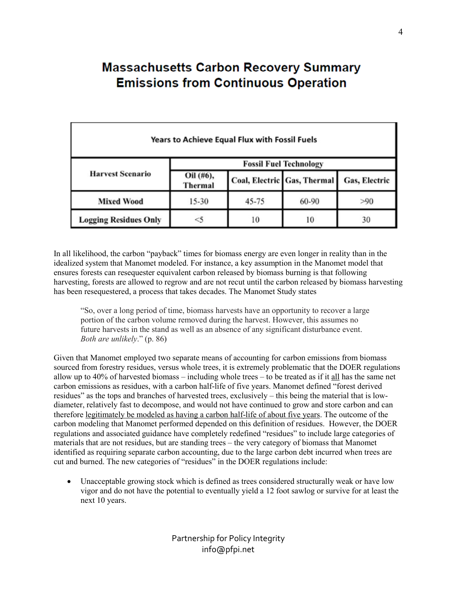# **Massachusetts Carbon Recovery Summary Emissions from Continuous Operation**

| Years to Achieve Equal Flux with Fossil Fuels |                               |           |                             |               |  |  |  |  |  |  |  |
|-----------------------------------------------|-------------------------------|-----------|-----------------------------|---------------|--|--|--|--|--|--|--|
| <b>Harvest Scenario</b>                       | <b>Fossil Fuel Technology</b> |           |                             |               |  |  |  |  |  |  |  |
|                                               | Oil (#6),<br><b>Thermal</b>   |           | Coal, Electric Gas, Thermal | Gas, Electric |  |  |  |  |  |  |  |
| <b>Mixed Wood</b>                             | $15 - 30$                     | $45 - 75$ | 60-90                       | >90           |  |  |  |  |  |  |  |
| <b>Logging Residues Only</b>                  |                               | 10        | 10                          | 30            |  |  |  |  |  |  |  |

In all likelihood, the carbon "payback" times for biomass energy are even longer in reality than in the idealized system that Manomet modeled. For instance, a key assumption in the Manomet model that ensures forests can resequester equivalent carbon released by biomass burning is that following harvesting, forests are allowed to regrow and are not recut until the carbon released by biomass harvesting has been resequestered, a process that takes decades. The Manomet Study states

"So, over a long period of time, biomass harvests have an opportunity to recover a large portion of the carbon volume removed during the harvest. However, this assumes no future harvests in the stand as well as an absence of any significant disturbance event. *Both are unlikely*." (p. 86)

Given that Manomet employed two separate means of accounting for carbon emissions from biomass sourced from forestry residues, versus whole trees, it is extremely problematic that the DOER regulations allow up to 40% of harvested biomass – including whole trees – to be treated as if it all has the same net carbon emissions as residues, with a carbon half-life of five years. Manomet defined "forest derived residues" as the tops and branches of harvested trees, exclusively – this being the material that is lowdiameter, relatively fast to decompose, and would not have continued to grow and store carbon and can therefore legitimately be modeled as having a carbon half-life of about five years. The outcome of the carbon modeling that Manomet performed depended on this definition of residues. However, the DOER regulations and associated guidance have completely redefined "residues" to include large categories of materials that are not residues, but are standing trees – the very category of biomass that Manomet identified as requiring separate carbon accounting, due to the large carbon debt incurred when trees are cut and burned. The new categories of "residues" in the DOER regulations include:

• Unacceptable growing stock which is defined as trees considered structurally weak or have low vigor and do not have the potential to eventually yield a 12 foot sawlog or survive for at least the next 10 years.

> Partnership for Policy Integrity info@pfpi.net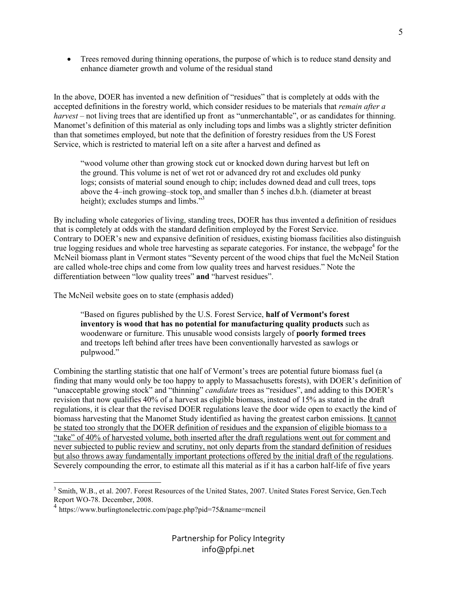• Trees removed during thinning operations, the purpose of which is to reduce stand density and enhance diameter growth and volume of the residual stand

In the above, DOER has invented a new definition of "residues" that is completely at odds with the accepted definitions in the forestry world, which consider residues to be materials that *remain after a harvest* – not living trees that are identified up front as "unmerchantable", or as candidates for thinning. Manomet's definition of this material as only including tops and limbs was a slightly stricter definition than that sometimes employed, but note that the definition of forestry residues from the US Forest Service, which is restricted to material left on a site after a harvest and defined as

"wood volume other than growing stock cut or knocked down during harvest but left on the ground. This volume is net of wet rot or advanced dry rot and excludes old punky logs; consists of material sound enough to chip; includes downed dead and cull trees, tops above the 4–inch growing–stock top, and smaller than 5 inches d.b.h. (diameter at breast height); excludes stumps and limbs."<sup>3</sup>

By including whole categories of living, standing trees, DOER has thus invented a definition of residues that is completely at odds with the standard definition employed by the Forest Service. Contrary to DOER's new and expansive definition of residues, existing biomass facilities also distinguish true logging residues and whole tree harvesting as separate categories. For instance, the webpage<sup>4</sup> for the McNeil biomass plant in Vermont states "Seventy percent of the wood chips that fuel the McNeil Station are called whole-tree chips and come from low quality trees and harvest residues." Note the differentiation between "low quality trees" **and** "harvest residues".

The McNeil website goes on to state (emphasis added)

"Based on figures published by the U.S. Forest Service, **half of Vermont's forest inventory is wood that has no potential for manufacturing quality products** such as woodenware or furniture. This unusable wood consists largely of **poorly formed trees** and treetops left behind after trees have been conventionally harvested as sawlogs or pulpwood."

Combining the startling statistic that one half of Vermont's trees are potential future biomass fuel (a finding that many would only be too happy to apply to Massachusetts forests), with DOER's definition of "unacceptable growing stock" and "thinning" *candidate* trees as "residues", and adding to this DOER's revision that now qualifies 40% of a harvest as eligible biomass, instead of 15% as stated in the draft regulations, it is clear that the revised DOER regulations leave the door wide open to exactly the kind of biomass harvesting that the Manomet Study identified as having the greatest carbon emissions. It cannot be stated too strongly that the DOER definition of residues and the expansion of eligible biomass to a "take" of 40% of harvested volume, both inserted after the draft regulations went out for comment and never subjected to public review and scrutiny, not only departs from the standard definition of residues but also throws away fundamentally important protections offered by the initial draft of the regulations. Severely compounding the error, to estimate all this material as if it has a carbon half-life of five years

<u>.</u>

<sup>&</sup>lt;sup>3</sup> Smith, W.B., et al. 2007. Forest Resources of the United States, 2007. United States Forest Service, Gen.Tech Report WO-78. December, 2008.

<sup>4</sup> https://www.burlingtonelectric.com/page.php?pid=75&name=mcneil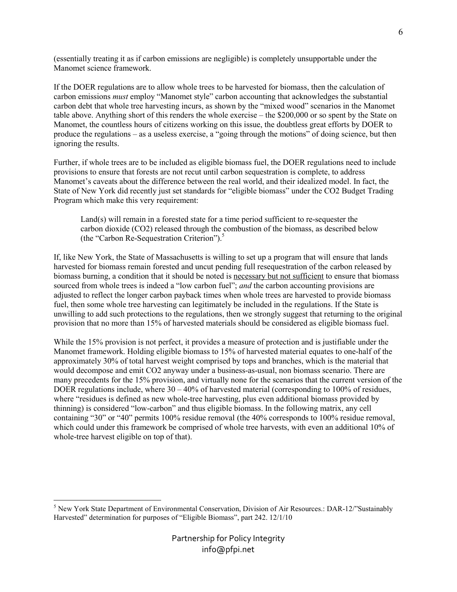(essentially treating it as if carbon emissions are negligible) is completely unsupportable under the Manomet science framework.

If the DOER regulations are to allow whole trees to be harvested for biomass, then the calculation of carbon emissions *must* employ "Manomet style" carbon accounting that acknowledges the substantial carbon debt that whole tree harvesting incurs, as shown by the "mixed wood" scenarios in the Manomet table above. Anything short of this renders the whole exercise – the \$200,000 or so spent by the State on Manomet, the countless hours of citizens working on this issue, the doubtless great efforts by DOER to produce the regulations – as a useless exercise, a "going through the motions" of doing science, but then ignoring the results.

Further, if whole trees are to be included as eligible biomass fuel, the DOER regulations need to include provisions to ensure that forests are not recut until carbon sequestration is complete, to address Manomet's caveats about the difference between the real world, and their idealized model. In fact, the State of New York did recently just set standards for "eligible biomass" under the CO2 Budget Trading Program which make this very requirement:

Land(s) will remain in a forested state for a time period sufficient to re-sequester the carbon dioxide (CO2) released through the combustion of the biomass, as described below (the "Carbon Re-Sequestration Criterion").<sup>5</sup>

If, like New York, the State of Massachusetts is willing to set up a program that will ensure that lands harvested for biomass remain forested and uncut pending full resequestration of the carbon released by biomass burning, a condition that it should be noted is necessary but not sufficient to ensure that biomass sourced from whole trees is indeed a "low carbon fuel"; *and* the carbon accounting provisions are adjusted to reflect the longer carbon payback times when whole trees are harvested to provide biomass fuel, then some whole tree harvesting can legitimately be included in the regulations. If the State is unwilling to add such protections to the regulations, then we strongly suggest that returning to the original provision that no more than 15% of harvested materials should be considered as eligible biomass fuel.

While the 15% provision is not perfect, it provides a measure of protection and is justifiable under the Manomet framework. Holding eligible biomass to 15% of harvested material equates to one-half of the approximately 30% of total harvest weight comprised by tops and branches, which is the material that would decompose and emit CO2 anyway under a business-as-usual, non biomass scenario. There are many precedents for the 15% provision, and virtually none for the scenarios that the current version of the DOER regulations include, where  $30 - 40\%$  of harvested material (corresponding to 100% of residues, where "residues is defined as new whole-tree harvesting, plus even additional biomass provided by thinning) is considered "low-carbon" and thus eligible biomass. In the following matrix, any cell containing "30" or "40" permits 100% residue removal (the 40% corresponds to 100% residue removal, which could under this framework be comprised of whole tree harvests, with even an additional 10% of whole-tree harvest eligible on top of that).

<sup>&</sup>lt;sup>5</sup> New York State Department of Environmental Conservation, Division of Air Resources.: DAR-12/"Sustainably Harvested" determination for purposes of "Eligible Biomass", part 242. 12/1/10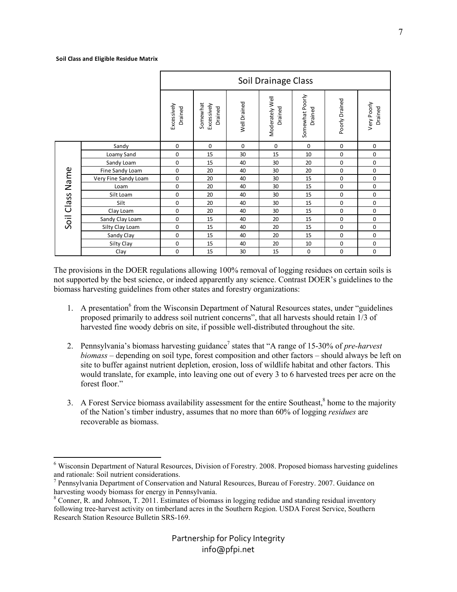<u>.</u>

|                    |                      | Soil Drainage Class    |                                    |              |                                   |                            |                  |                        |
|--------------------|----------------------|------------------------|------------------------------------|--------------|-----------------------------------|----------------------------|------------------|------------------------|
|                    |                      | Excessively<br>Drained | Somewhat<br>Excessively<br>Drained | Well Drained | Moderately Well<br><b>Drained</b> | Somewhat Poorly<br>Drained | Poorly Drained   | Very Poorly<br>Drained |
| Name<br>Soil Class | Sandy                | $\mathbf 0$            | 0                                  | $\mathbf 0$  | $\mathbf 0$                       | 0                          | $\mathbf 0$      | 0                      |
|                    | Loamy Sand           | 0                      | 15                                 | 30           | 15                                | 10                         | 0                | 0                      |
|                    | Sandy Loam           | 0                      | 15                                 | 40           | 30                                | 20                         | 0                | $\mathbf 0$            |
|                    | Fine Sandy Loam      | 0                      | 20                                 | 40           | 30                                | 20                         | $\mathbf 0$      | $\mathbf 0$            |
|                    | Very Fine Sandy Loam | 0                      | 20                                 | 40           | 30                                | 15                         | 0                | 0                      |
|                    | Loam                 | 0                      | 20                                 | 40           | 30                                | 15                         | $\mathbf 0$      | $\mathbf 0$            |
|                    | Silt Loam            | 0                      | 20                                 | 40           | 30                                | 15                         | $\mathbf 0$      | $\mathbf 0$            |
|                    | Silt                 | 0                      | 20                                 | 40           | 30                                | 15                         | 0                | 0                      |
|                    | Clay Loam            | $\mathbf 0$            | 20                                 | 40           | 30                                | 15                         | $\mathbf 0$      | $\mathbf 0$            |
|                    | Sandy Clay Loam      | $\mathbf 0$            | 15                                 | 40           | 20                                | 15                         | $\mathbf 0$      | $\mathbf 0$            |
|                    | Silty Clay Loam      | 0                      | 15                                 | 40           | 20                                | 15                         | 0                | 0                      |
|                    | Sandy Clay           | $\mathbf 0$            | 15                                 | 40           | 20                                | 15                         | $\mathbf 0$      | $\mathbf 0$            |
|                    | Silty Clay           | 0                      | 15                                 | 40           | 20                                | 10                         | $\boldsymbol{0}$ | $\boldsymbol{0}$       |
|                    | Clay                 | 0                      | 15                                 | 30           | 15                                | 0                          | $\boldsymbol{0}$ | 0                      |

The provisions in the DOER regulations allowing 100% removal of logging residues on certain soils is not supported by the best science, or indeed apparently any science. Contrast DOER's guidelines to the biomass harvesting guidelines from other states and forestry organizations:

- 1. A presentation<sup>6</sup> from the Wisconsin Department of Natural Resources states, under "guidelines proposed primarily to address soil nutrient concerns", that all harvests should retain 1/3 of harvested fine woody debris on site, if possible well-distributed throughout the site.
- 2. Pennsylvania's biomass harvesting guidance<sup>7</sup> states that "A range of 15-30% of *pre-harvest biomass* – depending on soil type, forest composition and other factors – should always be left on site to buffer against nutrient depletion, erosion, loss of wildlife habitat and other factors. This would translate, for example, into leaving one out of every 3 to 6 harvested trees per acre on the forest floor."
- 3. A Forest Service biomass availability assessment for the entire Southeast,<sup>8</sup> home to the majority of the Nation's timber industry, assumes that no more than 60% of logging *residues* are recoverable as biomass.

<sup>&</sup>lt;sup>6</sup> Wisconsin Department of Natural Resources, Division of Forestry. 2008. Proposed biomass harvesting guidelines and rationale: Soil nutrient considerations.

<sup>&</sup>lt;sup>7</sup> Pennsylvania Department of Conservation and Natural Resources, Bureau of Forestry. 2007. Guidance on harvesting woody biomass for energy in Pennsylvania.

<sup>&</sup>lt;sup>8</sup> Conner, R. and Johnson, T. 2011. Estimates of biomass in logging redidue and standing residual inventory following tree-harvest activity on timberland acres in the Southern Region. USDA Forest Service, Southern Research Station Resource Bulletin SRS-169.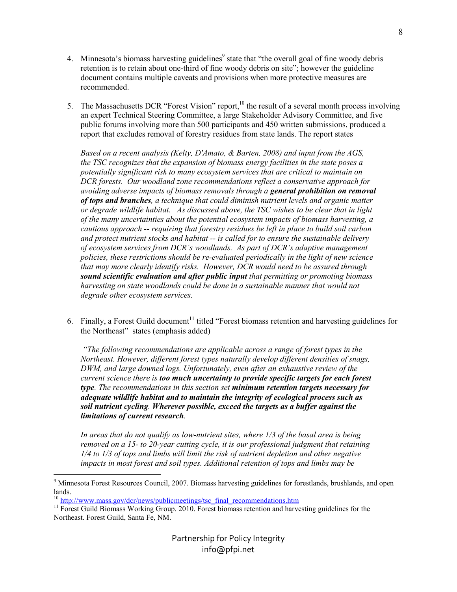- 4. Minnesota's biomass harvesting guidelines<sup>9</sup> state that "the overall goal of fine woody debris retention is to retain about one-third of fine woody debris on site"; however the guideline document contains multiple caveats and provisions when more protective measures are recommended.
- 5. The Massachusetts DCR "Forest Vision" report,<sup>10</sup> the result of a several month process involving an expert Technical Steering Committee, a large Stakeholder Advisory Committee, and five public forums involving more than 500 participants and 450 written submissions, produced a report that excludes removal of forestry residues from state lands. The report states

*Based on a recent analysis (Kelty, D'Amato, & Barten, 2008) and input from the AGS, the TSC recognizes that the expansion of biomass energy facilities in the state poses a potentially significant risk to many ecosystem services that are critical to maintain on DCR forests. Our woodland zone recommendations reflect a conservative approach for avoiding adverse impacts of biomass removals through a general prohibition on removal of tops and branches, a technique that could diminish nutrient levels and organic matter or degrade wildlife habitat. As discussed above, the TSC wishes to be clear that in light of the many uncertainties about the potential ecosystem impacts of biomass harvesting, a cautious approach -- requiring that forestry residues be left in place to build soil carbon and protect nutrient stocks and habitat -- is called for to ensure the sustainable delivery of ecosystem services from DCR's woodlands. As part of DCR's adaptive management policies, these restrictions should be re-evaluated periodically in the light of new science that may more clearly identify risks. However, DCR would need to be assured through sound scientific evaluation and after public input that permitting or promoting biomass harvesting on state woodlands could be done in a sustainable manner that would not degrade other ecosystem services.* 

6. Finally, a Forest Guild document<sup>11</sup> titled "Forest biomass retention and harvesting guidelines for the Northeast" states (emphasis added)

 *"The following recommendations are applicable across a range of forest types in the Northeast. However, different forest types naturally develop different densities of snags, DWM, and large downed logs. Unfortunately, even after an exhaustive review of the current science there is too much uncertainty to provide specific targets for each forest type. The recommendations in this section set minimum retention targets necessary for adequate wildlife habitat and to maintain the integrity of ecological process such as soil nutrient cycling. Wherever possible, exceed the targets as a buffer against the limitations of current research.* 

*In areas that do not qualify as low-nutrient sites, where 1/3 of the basal area is being removed on a 15- to 20-year cutting cycle, it is our professional judgment that retaining 1/4 to 1/3 of tops and limbs will limit the risk of nutrient depletion and other negative impacts in most forest and soil types. Additional retention of tops and limbs may be* 

-

<sup>&</sup>lt;sup>9</sup> Minnesota Forest Resources Council, 2007. Biomass harvesting guidelines for forestlands, brushlands, and open lands.

 $10$  http://www.mass.gov/dcr/news/publicmeetings/tsc\_final\_recommendations.htm

<sup>&</sup>lt;sup>11</sup> Forest Guild Biomass Working Group. 2010. Forest biomass retention and harvesting guidelines for the Northeast. Forest Guild, Santa Fe, NM.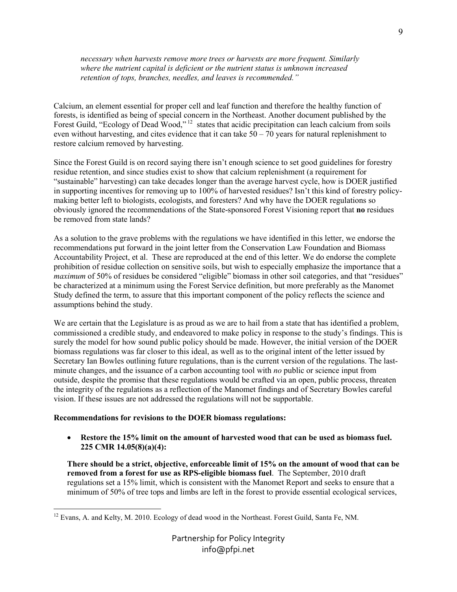*necessary when harvests remove more trees or harvests are more frequent. Similarly where the nutrient capital is deficient or the nutrient status is unknown increased retention of tops, branches, needles, and leaves is recommended."* 

Calcium, an element essential for proper cell and leaf function and therefore the healthy function of forests, is identified as being of special concern in the Northeast. Another document published by the Forest Guild, "Ecology of Dead Wood,"<sup>12</sup> states that acidic precipitation can leach calcium from soils even without harvesting, and cites evidence that it can take  $50 - 70$  years for natural replenishment to restore calcium removed by harvesting.

Since the Forest Guild is on record saying there isn't enough science to set good guidelines for forestry residue retention, and since studies exist to show that calcium replenishment (a requirement for "sustainable" harvesting) can take decades longer than the average harvest cycle, how is DOER justified in supporting incentives for removing up to 100% of harvested residues? Isn't this kind of forestry policymaking better left to biologists, ecologists, and foresters? And why have the DOER regulations so obviously ignored the recommendations of the State-sponsored Forest Visioning report that **no** residues be removed from state lands?

As a solution to the grave problems with the regulations we have identified in this letter, we endorse the recommendations put forward in the joint letter from the Conservation Law Foundation and Biomass Accountability Project, et al. These are reproduced at the end of this letter. We do endorse the complete prohibition of residue collection on sensitive soils, but wish to especially emphasize the importance that a *maximum* of 50% of residues be considered "eligible" biomass in other soil categories, and that "residues" be characterized at a minimum using the Forest Service definition, but more preferably as the Manomet Study defined the term, to assure that this important component of the policy reflects the science and assumptions behind the study.

We are certain that the Legislature is as proud as we are to hail from a state that has identified a problem, commissioned a credible study, and endeavored to make policy in response to the study's findings. This is surely the model for how sound public policy should be made. However, the initial version of the DOER biomass regulations was far closer to this ideal, as well as to the original intent of the letter issued by Secretary Ian Bowles outlining future regulations, than is the current version of the regulations. The lastminute changes, and the issuance of a carbon accounting tool with *no* public or science input from outside, despite the promise that these regulations would be crafted via an open, public process, threaten the integrity of the regulations as a reflection of the Manomet findings and of Secretary Bowles careful vision. If these issues are not addressed the regulations will not be supportable.

### **Recommendations for revisions to the DOER biomass regulations:**

• **Restore the 15% limit on the amount of harvested wood that can be used as biomass fuel. 225 CMR 14.05(8)(a)(4):** 

**There should be a strict, objective, enforceable limit of 15% on the amount of wood that can be removed from a forest for use as RPS-eligible biomass fuel**. The September, 2010 draft regulations set a 15% limit, which is consistent with the Manomet Report and seeks to ensure that a minimum of 50% of tree tops and limbs are left in the forest to provide essential ecological services,

<sup>&</sup>lt;u>.</u> <sup>12</sup> Evans, A. and Kelty, M. 2010. Ecology of dead wood in the Northeast. Forest Guild, Santa Fe, NM.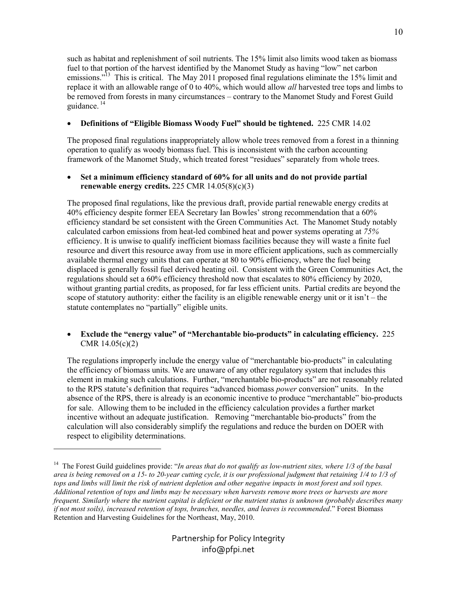such as habitat and replenishment of soil nutrients. The 15% limit also limits wood taken as biomass fuel to that portion of the harvest identified by the Manomet Study as having "low" net carbon emissions."<sup>13</sup> This is critical. The May 2011 proposed final regulations eliminate the 15% limit and replace it with an allowable range of 0 to 40%, which would allow *all* harvested tree tops and limbs to be removed from forests in many circumstances – contrary to the Manomet Study and Forest Guild guidance.<sup>14</sup>

## • **Definitions of "Eligible Biomass Woody Fuel" should be tightened.** 225 CMR 14.02

The proposed final regulations inappropriately allow whole trees removed from a forest in a thinning operation to qualify as woody biomass fuel. This is inconsistent with the carbon accounting framework of the Manomet Study, which treated forest "residues" separately from whole trees.

## • **Set a minimum efficiency standard of 60% for all units and do not provide partial renewable energy credits.** 225 CMR 14.05(8)(c)(3)

The proposed final regulations, like the previous draft, provide partial renewable energy credits at 40% efficiency despite former EEA Secretary Ian Bowles' strong recommendation that a 60% efficiency standard be set consistent with the Green Communities Act. The Manomet Study notably calculated carbon emissions from heat-led combined heat and power systems operating at *75%* efficiency. It is unwise to qualify inefficient biomass facilities because they will waste a finite fuel resource and divert this resource away from use in more efficient applications, such as commercially available thermal energy units that can operate at 80 to 90% efficiency, where the fuel being displaced is generally fossil fuel derived heating oil.Consistent with the Green Communities Act, the regulations should set a 60% efficiency threshold now that escalates to 80% efficiency by 2020, without granting partial credits, as proposed, for far less efficient units. Partial credits are beyond the scope of statutory authority: either the facility is an eligible renewable energy unit or it isn't – the statute contemplates no "partially" eligible units.

## • **Exclude the "energy value" of "Merchantable bio-products" in calculating efficiency.** 225 CMR 14.05(c)(2)

The regulations improperly include the energy value of "merchantable bio-products" in calculating the efficiency of biomass units. We are unaware of any other regulatory system that includes this element in making such calculations. Further, "merchantable bio-products" are not reasonably related to the RPS statute's definition that requires "advanced biomass *power* conversion" units. In the absence of the RPS, there is already is an economic incentive to produce "merchantable" bio-products for sale. Allowing them to be included in the efficiency calculation provides a further market incentive without an adequate justification. Removing "merchantable bio-products" from the calculation will also considerably simplify the regulations and reduce the burden on DOER with respect to eligibility determinations.

-

<sup>&</sup>lt;sup>14</sup> The Forest Guild guidelines provide: "*In areas that do not qualify as low-nutrient sites, where 1/3 of the basal area is being removed on a 15- to 20-year cutting cycle, it is our professional judgment that retaining 1/4 to 1/3 of tops and limbs will limit the risk of nutrient depletion and other negative impacts in most forest and soil types. Additional retention of tops and limbs may be necessary when harvests remove more trees or harvests are more frequent. Similarly where the nutrient capital is deficient or the nutrient status is unknown (probably describes many if not most soils), increased retention of tops, branches, needles, and leaves is recommended*." Forest Biomass Retention and Harvesting Guidelines for the Northeast, May, 2010.